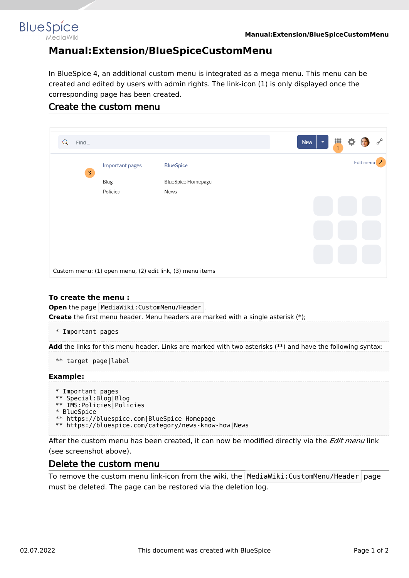

## **Manual:Extension/BlueSpiceCustomMenu**

In BlueSpice 4, an additional custom menu is integrated as a mega menu. This menu can be created and edited by users with admin rights. The link-icon (1) is only displayed once the corresponding page has been created.

## Create the custom menu

| Find<br>Q      |                         |                                                           |  | <b>New</b><br>$\overline{\phantom{a}}$ | Ш<br>$\mathbf{1}$ |                        |  |
|----------------|-------------------------|-----------------------------------------------------------|--|----------------------------------------|-------------------|------------------------|--|
| $\overline{3}$ | Important pages<br>Blog | <b>BlueSpice</b><br><b>BlueSpice Homepage</b>             |  |                                        |                   | Edit menu <sup>2</sup> |  |
|                | Policies                | News                                                      |  |                                        |                   |                        |  |
|                |                         |                                                           |  |                                        |                   |                        |  |
|                |                         | Custom menu: (1) open menu, (2) edit link, (3) menu items |  |                                        |                   |                        |  |

#### **To create the menu :**

**Open** the page MediaWiki: CustomMenu/Header . **Create** the first menu header. Menu headers are marked with a single asterisk (\*);

\* Important pages

**Add** the links for this menu header. Links are marked with two asterisks (\*\*) and have the following syntax:

```
** target page|label
```
#### **Example:**

```
* Important pages
** Special:Blog|Blog
** IMS:Policies|Policies
* BlueSpice
** https://bluespice.com|BlueSpice Homepage
** https://bluespice.com/category/news-know-how|News
```
After the custom menu has been created, it can now be modified directly via the *Edit menu* link (see screenshot above).

### Delete the custom menu

To remove the custom menu link-icon from the wiki, the  $\blacksquare$ MediaWiki:CustomMenu/Header page must be deleted. The page can be restored via the deletion log.